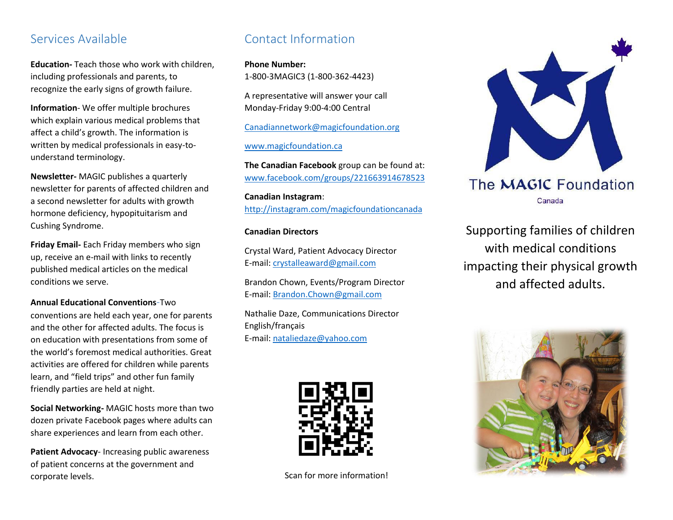#### Services Available

**Education-** Teach those who work with children, including professionals and parents, to recognize the early signs of growth failure.

**Information**- We offer multiple brochures which explain various medical problems that affect a child's growth. The information is written by medical professionals in easy-tounderstand terminology.

**Newsletter-** MAGIC publishes a quarterly newsletter for parents of affected children and a second newsletter for adults with growth hormone deficiency, hypopituitarism and Cushing Syndrome.

**Friday Email-** Each Friday members who sign up, receive an e-mail with links to recently published medical articles on the medical conditions we serve.

#### **Annual Educational Conventions**-Two

conventions are held each year, one for parents and the other for affected adults. The focus is on education with presentations from some of the world's foremost medical authorities. Great activities are offered for children while parents learn, and "field trips" and other fun family friendly parties are held at night.

**Social Networking-** MAGIC hosts more than two dozen private Facebook pages where adults can share experiences and learn from each other.

**Patient Advocacy**- Increasing public awareness of patient concerns at the government and corporate levels.

#### Contact Information

**Phone Number:** 1-800-3MAGIC3 (1-800-362-4423)

A representative will answer your call Monday-Friday 9:00-4:00 Central

[Canadiannetwork@magicfoundation.org](mailto:Canadiannetwork@magicfoundation.org)

[www.magicfoundation.ca](http://www.magicfoundation.ca/)

**The Canadian Facebook** group can be found at: [www.facebook.com/groups/221663914678523](http://www.facebook.com/groups/221663914678523)

**Canadian Instagram**: <http://instagram.com/magicfoundationcanada>

#### **Canadian Directors**

Crystal Ward, Patient Advocacy Director E-mail: [crystalleaward@gmail.com](mailto:crystalleaward@gmail.com)

Brandon Chown, Events/Program Director E-mail: [Brandon.Chown@gmail.com](mailto:Brandon.Chown@gmail.com)

Nathalie Daze, Communications Director English/français E-mail: [nataliedaze@yahoo.com](mailto:nataliedaze@yahoo.com)



Scan for more information!



Supporting families of children with medical conditions impacting their physical growth and affected adults.